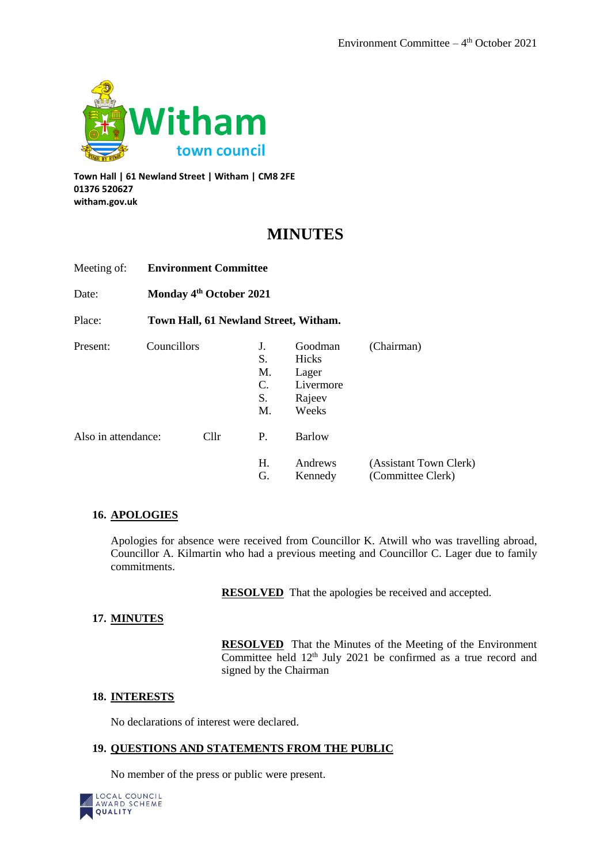

**Town Hall | 61 Newland Street | Witham | CM8 2FE 01376 520627 witham.gov.uk**

# **MINUTES**

| Meeting of:         |                                     | <b>Environment Committee</b>          |                                  |                                                           |                                             |  |
|---------------------|-------------------------------------|---------------------------------------|----------------------------------|-----------------------------------------------------------|---------------------------------------------|--|
| Date:               | Monday 4 <sup>th</sup> October 2021 |                                       |                                  |                                                           |                                             |  |
| Place:              |                                     | Town Hall, 61 Newland Street, Witham. |                                  |                                                           |                                             |  |
| Present:            | Councillors                         |                                       | J.<br>S.<br>M.<br>C.<br>S.<br>M. | Goodman<br>Hicks<br>Lager<br>Livermore<br>Rajeev<br>Weeks | (Chairman)                                  |  |
| Also in attendance: |                                     | Cllr                                  | P.                               | <b>Barlow</b>                                             |                                             |  |
|                     |                                     |                                       | Н.<br>G.                         | Andrews<br>Kennedy                                        | (Assistant Town Clerk)<br>(Committee Clerk) |  |

## **16. APOLOGIES**

Apologies for absence were received from Councillor K. Atwill who was travelling abroad, Councillor A. Kilmartin who had a previous meeting and Councillor C. Lager due to family commitments.

**RESOLVED** That the apologies be received and accepted.

## **17. MINUTES**

**RESOLVED** That the Minutes of the Meeting of the Environment Committee held 12<sup>th</sup> July 2021 be confirmed as a true record and signed by the Chairman

## **18. INTERESTS**

No declarations of interest were declared.

#### **19. QUESTIONS AND STATEMENTS FROM THE PUBLIC**

No member of the press or public were present.

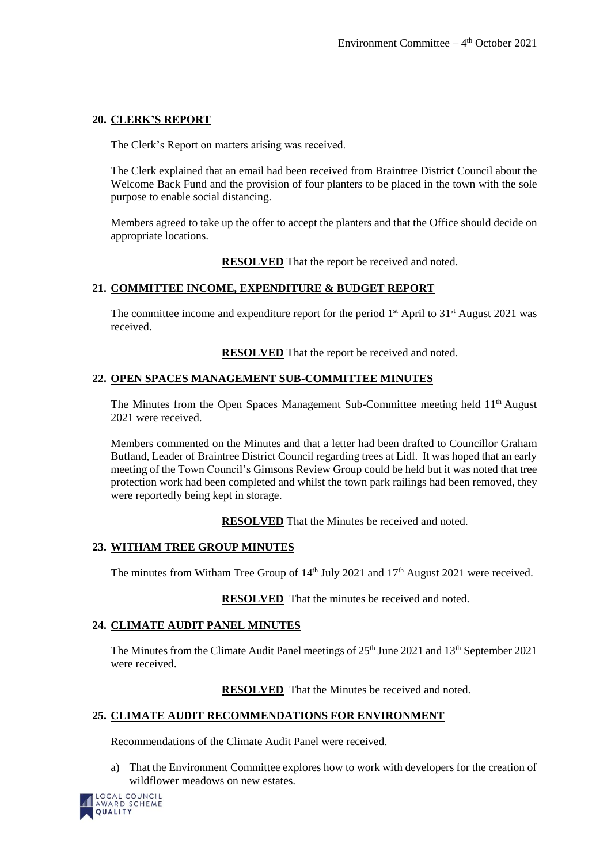## **20. CLERK'S REPORT**

The Clerk's Report on matters arising was received.

The Clerk explained that an email had been received from Braintree District Council about the Welcome Back Fund and the provision of four planters to be placed in the town with the sole purpose to enable social distancing.

Members agreed to take up the offer to accept the planters and that the Office should decide on appropriate locations.

**RESOLVED** That the report be received and noted.

## **21. COMMITTEE INCOME, EXPENDITURE & BUDGET REPORT**

The committee income and expenditure report for the period  $1<sup>st</sup>$  April to  $31<sup>st</sup>$  August 2021 was received.

**RESOLVED** That the report be received and noted.

## **22. OPEN SPACES MANAGEMENT SUB-COMMITTEE MINUTES**

The Minutes from the Open Spaces Management Sub-Committee meeting held 11<sup>th</sup> August 2021 were received.

Members commented on the Minutes and that a letter had been drafted to Councillor Graham Butland, Leader of Braintree District Council regarding trees at Lidl. It was hoped that an early meeting of the Town Council's Gimsons Review Group could be held but it was noted that tree protection work had been completed and whilst the town park railings had been removed, they were reportedly being kept in storage.

**RESOLVED** That the Minutes be received and noted.

## **23. WITHAM TREE GROUP MINUTES**

The minutes from Witham Tree Group of  $14<sup>th</sup>$  July 2021 and  $17<sup>th</sup>$  August 2021 were received.

**RESOLVED** That the minutes be received and noted.

## **24. CLIMATE AUDIT PANEL MINUTES**

The Minutes from the Climate Audit Panel meetings of  $25<sup>th</sup>$  June 2021 and  $13<sup>th</sup>$  September 2021 were received.

**RESOLVED** That the Minutes be received and noted.

## **25. CLIMATE AUDIT RECOMMENDATIONS FOR ENVIRONMENT**

Recommendations of the Climate Audit Panel were received.

a) That the Environment Committee explores how to work with developers for the creation of wildflower meadows on new estates.

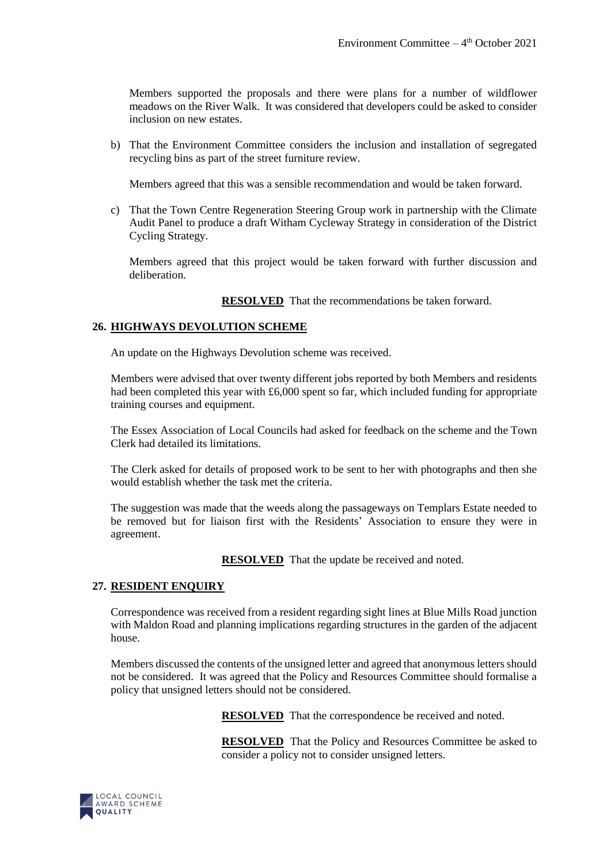Members supported the proposals and there were plans for a number of wildflower meadows on the River Walk. It was considered that developers could be asked to consider inclusion on new estates.

b) That the Environment Committee considers the inclusion and installation of segregated recycling bins as part of the street furniture review.

Members agreed that this was a sensible recommendation and would be taken forward.

c) That the Town Centre Regeneration Steering Group work in partnership with the Climate Audit Panel to produce a draft Witham Cycleway Strategy in consideration of the District Cycling Strategy.

Members agreed that this project would be taken forward with further discussion and deliberation.

**RESOLVED** That the recommendations be taken forward.

#### **26. HIGHWAYS DEVOLUTION SCHEME**

An update on the Highways Devolution scheme was received.

Members were advised that over twenty different jobs reported by both Members and residents had been completed this year with £6,000 spent so far, which included funding for appropriate training courses and equipment.

The Essex Association of Local Councils had asked for feedback on the scheme and the Town Clerk had detailed its limitations.

The Clerk asked for details of proposed work to be sent to her with photographs and then she would establish whether the task met the criteria.

The suggestion was made that the weeds along the passageways on Templars Estate needed to be removed but for liaison first with the Residents' Association to ensure they were in agreement.

**RESOLVED** That the update be received and noted.

#### **27. RESIDENT ENQUIRY**

Correspondence was received from a resident regarding sight lines at Blue Mills Road junction with Maldon Road and planning implications regarding structures in the garden of the adjacent house.

Members discussed the contents of the unsigned letter and agreed that anonymous letters should not be considered. It was agreed that the Policy and Resources Committee should formalise a policy that unsigned letters should not be considered.

**RESOLVED** That the correspondence be received and noted.

**RESOLVED** That the Policy and Resources Committee be asked to consider a policy not to consider unsigned letters.

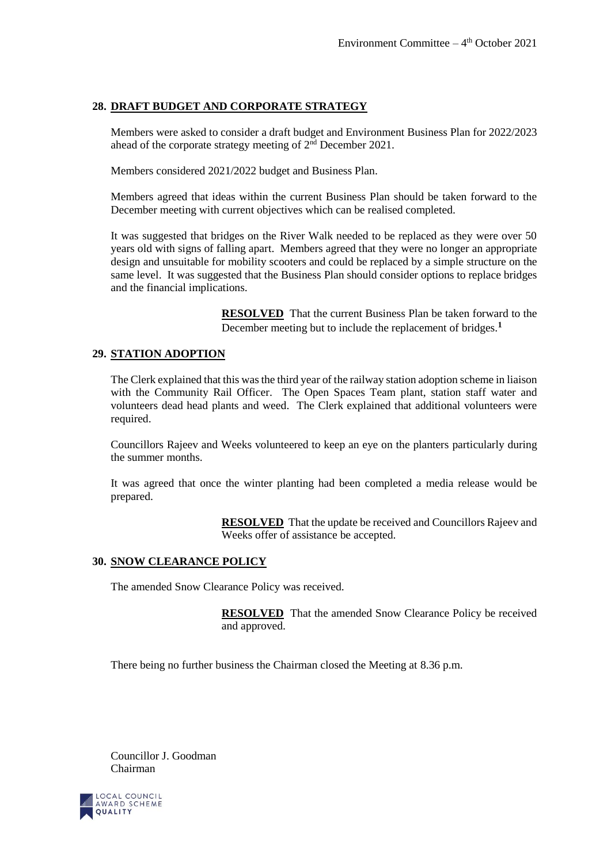#### **28. DRAFT BUDGET AND CORPORATE STRATEGY**

Members were asked to consider a draft budget and Environment Business Plan for 2022/2023 ahead of the corporate strategy meeting of 2nd December 2021.

Members considered 2021/2022 budget and Business Plan.

Members agreed that ideas within the current Business Plan should be taken forward to the December meeting with current objectives which can be realised completed.

It was suggested that bridges on the River Walk needed to be replaced as they were over 50 years old with signs of falling apart. Members agreed that they were no longer an appropriate design and unsuitable for mobility scooters and could be replaced by a simple structure on the same level. It was suggested that the Business Plan should consider options to replace bridges and the financial implications.

> **RESOLVED** That the current Business Plan be taken forward to the December meeting but to include the replacement of bridges.**<sup>1</sup>**

## **29. STATION ADOPTION**

The Clerk explained that this was the third year of the railway station adoption scheme in liaison with the Community Rail Officer. The Open Spaces Team plant, station staff water and volunteers dead head plants and weed. The Clerk explained that additional volunteers were required.

Councillors Rajeev and Weeks volunteered to keep an eye on the planters particularly during the summer months.

It was agreed that once the winter planting had been completed a media release would be prepared.

> **RESOLVED** That the update be received and Councillors Rajeev and Weeks offer of assistance be accepted.

#### **30. SNOW CLEARANCE POLICY**

The amended Snow Clearance Policy was received.

**RESOLVED** That the amended Snow Clearance Policy be received and approved.

There being no further business the Chairman closed the Meeting at 8.36 p.m.

Councillor J. Goodman Chairman